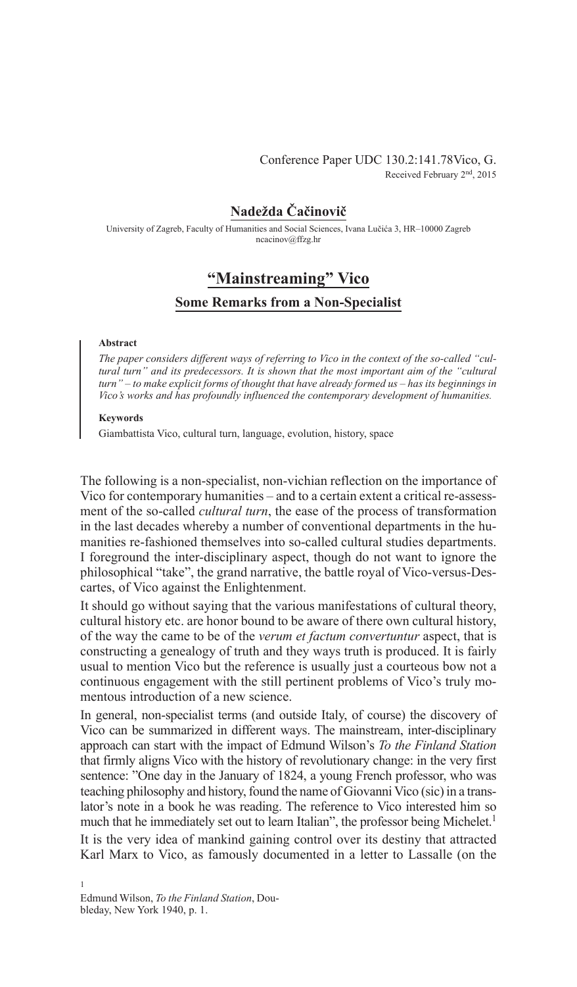# Conference Paper UDC 130.2:141.78Vico, G. Received February 2nd, 2015

# **Nadežda Čačinovič**

University of Zagreb, Faculty of Humanities and Social Sciences, Ivana Lučića 3, HR–10000 Zagreb ncacinov@ffzg.hr

# **"Mainstreaming" Vico**

# **Some Remarks from a Non-specialist**

### **Abstract**

*The paper considers different ways of referring to Vico in the context of the so-called "cultural turn" and its predecessors. It is shown that the most important aim of the "cultural turn" – to make explicit forms of thought that have already formed us – has its beginnings in Vico's works and has profoundly influenced the contemporary development of humanities.*

### **Keywords**

Giambattista Vico, cultural turn, language, evolution, history, space

The following is a non-specialist, non-vichian reflection on the importance of Vico for contemporary humanities – and to a certain extent a critical re-assessment of the so-called *cultural turn*, the ease of the process of transformation in the last decades whereby a number of conventional departments in the humanities re-fashioned themselves into so-called cultural studies departments. I foreground the inter-disciplinary aspect, though do not want to ignore the philosophical "take", the grand narrative, the battle royal of Vico-versus-Descartes, of Vico against the Enlightenment.

It should go without saying that the various manifestations of cultural theory, cultural history etc. are honor bound to be aware of there own cultural history, of the way the came to be of the *verum et factum convertuntur* aspect, that is constructing a genealogy of truth and they ways truth is produced. It is fairly usual to mention Vico but the reference is usually just a courteous bow not a continuous engagement with the still pertinent problems of Vico's truly momentous introduction of a new science.

In general, non-specialist terms (and outside Italy, of course) the discovery of Vico can be summarized in different ways. The mainstream, inter-disciplinary approach can start with the impact of Edmund Wilson's *To the Finland Station* that firmly aligns Vico with the history of revolutionary change: in the very first sentence: "One day in the January of 1824, a young French professor, who was teaching philosophy and history, found the name of Giovanni Vico (sic) in a translator's note in a book he was reading. The reference to Vico interested him so much that he immediately set out to learn Italian", the professor being Michelet.<sup>1</sup>

It is the very idea of mankind gaining control over its destiny that attracted Karl Marx to Vico, as famously documented in a letter to Lassalle (on the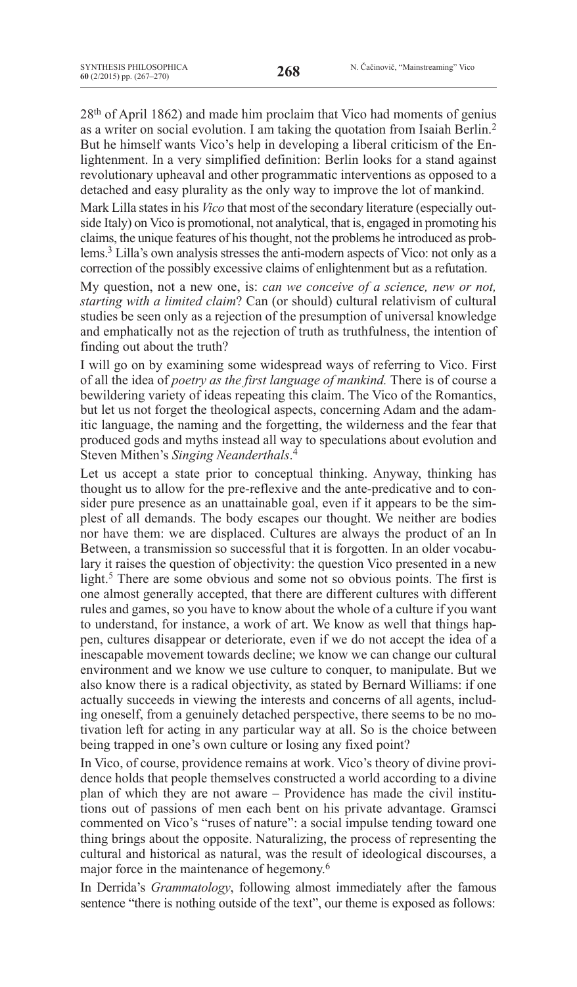28th of April 1862) and made him proclaim that Vico had moments of genius as a writer on social evolution. I am taking the quotation from Isaiah Berlin.2 But he himself wants Vico's help in developing a liberal criticism of the Enlightenment. In a very simplified definition: Berlin looks for a stand against revolutionary upheaval and other programmatic interventions as opposed to a detached and easy plurality as the only way to improve the lot of mankind.

Mark Lilla states in his *Vico* that most of the secondary literature (especially outside Italy) on Vico is promotional, not analytical, that is, engaged in promoting his claims, the unique features of histhought, not the problems he introduced as problems.<sup>3</sup> Lilla's own analysis stresses the anti-modern aspects of Vico: not only as a correction of the possibly excessive claims of enlightenment but as a refutation.

My question, not a new one, is: *can we conceive of a science, new or not, starting with a limited claim*? Can (or should) cultural relativism of cultural studies be seen only as a rejection of the presumption of universal knowledge and emphatically not as the rejection of truth as truthfulness, the intention of finding out about the truth?

I will go on by examining some widespread ways of referring to Vico. First of all the idea of *poetry as the first language of mankind.* There is of course a bewildering variety of ideas repeating this claim. The Vico of the Romantics, but let us not forget the theological aspects, concerning Adam and the adamitic language, the naming and the forgetting, the wilderness and the fear that produced gods and myths instead all way to speculations about evolution and Steven Mithen's *Singing Neanderthals*. 4

Let us accept a state prior to conceptual thinking. Anyway, thinking has thought us to allow for the pre-reflexive and the ante-predicative and to consider pure presence as an unattainable goal, even if it appears to be the simplest of all demands. The body escapes our thought. We neither are bodies nor have them: we are displaced. Cultures are always the product of an In Between, a transmission so successful that it is forgotten. In an older vocabulary it raises the question of objectivity: the question Vico presented in a new light.<sup>5</sup> There are some obvious and some not so obvious points. The first is one almost generally accepted, that there are different cultures with different rules and games, so you have to know about the whole of a culture if you want to understand, for instance, a work of art. We know as well that things happen, cultures disappear or deteriorate, even if we do not accept the idea of a inescapable movement towards decline; we know we can change our cultural environment and we know we use culture to conquer, to manipulate. But we also know there is a radical objectivity, as stated by Bernard Williams: if one actually succeeds in viewing the interests and concerns of all agents, including oneself, from a genuinely detached perspective, there seems to be no motivation left for acting in any particular way at all. So is the choice between being trapped in one's own culture or losing any fixed point?

In Vico, of course, providence remains at work. Vico's theory of divine providence holds that people themselves constructed a world according to a divine plan of which they are not aware – Providence has made the civil institutions out of passions of men each bent on his private advantage. Gramsci commented on Vico's "ruses of nature": a social impulse tending toward one thing brings about the opposite. Naturalizing, the process of representing the cultural and historical as natural, was the result of ideological discourses, a major force in the maintenance of hegemony.6

In Derrida's *Grammatology*, following almost immediately after the famous sentence "there is nothing outside of the text", our theme is exposed as follows: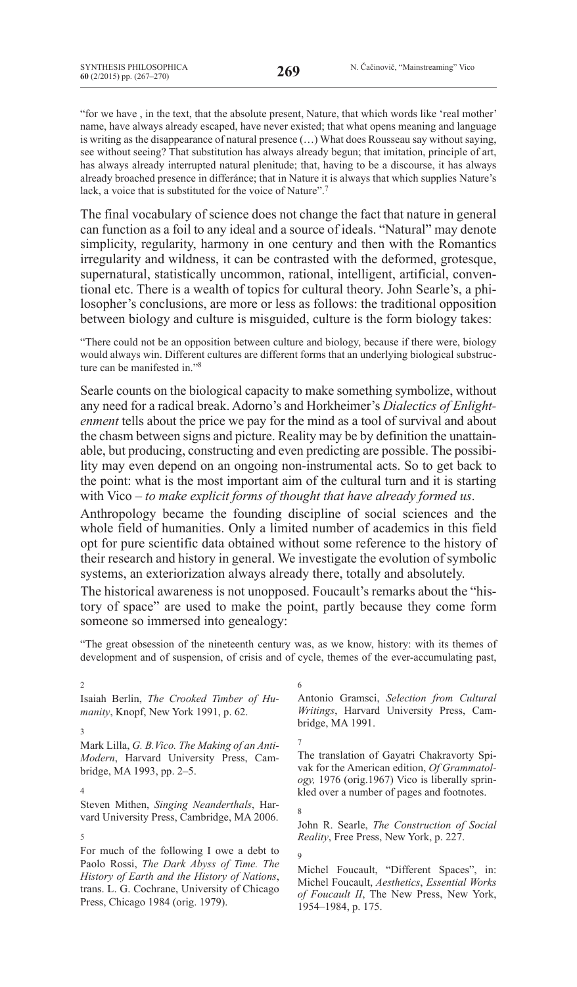"for we have , in the text, that the absolute present, Nature, that which words like 'real mother' name, have always already escaped, have never existed; that what opens meaning and language is writing as the disappearance of natural presence (…) What does Rousseau say without saying, see without seeing? That substitution has always already begun; that imitation, principle of art, has always already interrupted natural plenitude; that, having to be a discourse, it has always already broached presence in differánce; that in Nature it is always that which supplies Nature's lack, a voice that is substituted for the voice of Nature".<sup>7</sup>

The final vocabulary of science does not change the fact that nature in general can function as a foil to any ideal and a source of ideals. "Natural" may denote simplicity, regularity, harmony in one century and then with the Romantics irregularity and wildness, it can be contrasted with the deformed, grotesque, supernatural, statistically uncommon, rational, intelligent, artificial, conventional etc. There is a wealth of topics for cultural theory. John Searle's, a philosopher's conclusions, are more or less as follows: the traditional opposition between biology and culture is misguided, culture is the form biology takes:

"There could not be an opposition between culture and biology, because if there were, biology would always win. Different cultures are different forms that an underlying biological substructure can be manifested in."8

Searle counts on the biological capacity to make something symbolize, without any need for a radical break. Adorno's and Horkheimer's *Dialectics of Enlightenment* tells about the price we pay for the mind as a tool of survival and about the chasm between signs and picture. Reality may be by definition the unattainable, but producing, constructing and even predicting are possible. The possibility may even depend on an ongoing non-instrumental acts. So to get back to the point: what is the most important aim of the cultural turn and it is starting with Vico – *to make explicit forms of thought that have already formed us*.

Anthropology became the founding discipline of social sciences and the whole field of humanities. Only a limited number of academics in this field opt for pure scientific data obtained without some reference to the history of their research and history in general. We investigate the evolution of symbolic systems, an exteriorization always already there, totally and absolutely.

The historical awareness is not unopposed. Foucault's remarks about the "history of space" are used to make the point, partly because they come form someone so immersed into genealogy:

"The great obsession of the nineteenth century was, as we know, history: with its themes of development and of suspension, of crisis and of cycle, themes of the ever-accumulating past,

9

#### $\mathfrak{D}$

Isaiah Berlin, *The Crooked Timber of Humanity*, Knopf, New York 1991, p. 62.

#### 3

4

5

Mark Lilla, *G. B.Vico. The Making of an Anti-Modern*, Harvard University Press, Cambridge, MA 1993, pp. 2–5.

Steven Mithen, *Singing Neanderthals*, Harvard University Press, Cambridge, MA 2006.

For much of the following I owe a debt to Paolo Rossi, *The Dark Abyss of Time. The History of Earth and the History of Nations*, trans. L. G. Cochrane, University of Chicago Press, Chicago 1984 (orig. 1979).

6 Antonio Gramsci, *Selection from Cultural Writings*, Harvard University Press, Cambridge, MA 1991.

7 The translation of Gayatri Chakravorty Spivak for the American edition, *Of Grammatology,* 1976 (orig.1967) Vico is liberally sprinkled over a number of pages and footnotes.

8 John R. Searle, *The Construction of Social Reality*, Free Press, New York, p. 227.

Michel Foucault, "Different Spaces", in: Michel Foucault, *Aesthetics*, *Essential Works of Foucault II*, The New Press, New York, 1954–1984, p. 175.